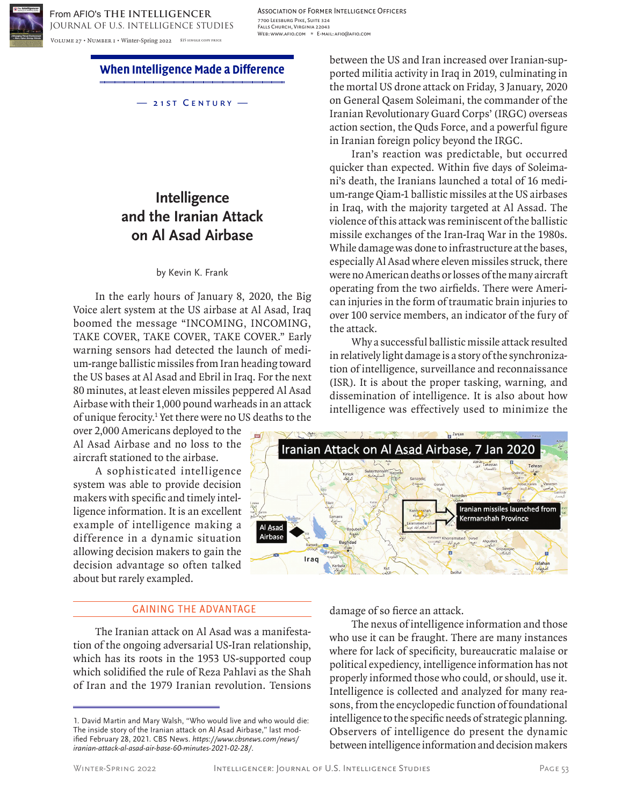

Association of Former Intelligence Officers 7700 Leesburg Pike, Suite 324 Falls Church, Virginia 22043 Web: www.afio.com \* E-mail: afio@afio.com

**When Intelligence Made a Difference**

— 21st Century —

# **Intelligence and the Iranian Attack on Al Asad Airbase**

### by Kevin K. Frank

In the early hours of January 8, 2020, the Big Voice alert system at the US airbase at Al Asad, Iraq boomed the message "INCOMING, INCOMING, TAKE COVER, TAKE COVER, TAKE COVER." Early warning sensors had detected the launch of medium-range ballistic missiles from Iran heading toward the US bases at Al Asad and Ebril in Iraq. For the next 80 minutes, at least eleven missiles peppered Al Asad Airbase with their 1,000 pound warheads in an attack of unique ferocity.1 Yet there were no US deaths to the

over 2,000 Americans deployed to the Al Asad Airbase and no loss to the aircraft stationed to the airbase.

A sophisticated intelligence system was able to provide decision makers with specific and timely intelligence information. It is an excellent example of intelligence making a difference in a dynamic situation allowing decision makers to gain the decision advantage so often talked about but rarely exampled.

# GAINING THE ADVANTAGE

The Iranian attack on Al Asad was a manifestation of the ongoing adversarial US-Iran relationship, which has its roots in the 1953 US-supported coup which solidified the rule of Reza Pahlavi as the Shah of Iran and the 1979 Iranian revolution. Tensions

between the US and Iran increased over Iranian-supported militia activity in Iraq in 2019, culminating in the mortal US drone attack on Friday, 3 January, 2020 on General Qasem Soleimani, the commander of the Iranian Revolutionary Guard Corps' (IRGC) overseas action section, the Quds Force, and a powerful figure in Iranian foreign policy beyond the IRGC.

Iran's reaction was predictable, but occurred quicker than expected. Within five days of Soleimani's death, the Iranians launched a total of 16 medium-range Qiam-1 ballistic missiles at the US airbases in Iraq, with the majority targeted at Al Assad. The violence of this attack was reminiscent of the ballistic missile exchanges of the Iran-Iraq War in the 1980s. While damage was done to infrastructure at the bases, especially Al Asad where eleven missiles struck, there were no American deaths or losses of the many aircraft operating from the two airfields. There were American injuries in the form of traumatic brain injuries to over 100 service members, an indicator of the fury of the attack.

Why a successful ballistic missile attack resulted in relatively light damage is a story of the synchronization of intelligence, surveillance and reconnaissance (ISR). It is about the proper tasking, warning, and dissemination of intelligence. It is also about how intelligence was effectively used to minimize the



damage of so fierce an attack.

The nexus of intelligence information and those who use it can be fraught. There are many instances where for lack of specificity, bureaucratic malaise or political expediency, intelligence information has not properly informed those who could, or should, use it. Intelligence is collected and analyzed for many reasons, from the encyclopedic function of foundational intelligence to the specific needs of strategic planning. Observers of intelligence do present the dynamic between intelligence information and decision makers

<sup>1.</sup> David Martin and Mary Walsh, "Who would live and who would die: The inside story of the Iranian attack on Al Asad Airbase," last modified February 28, 2021. CBS News. *https://www.cbsnews.com/news/ iranian-attack-al-asad-air-base-60-minutes-2021-02-28/*.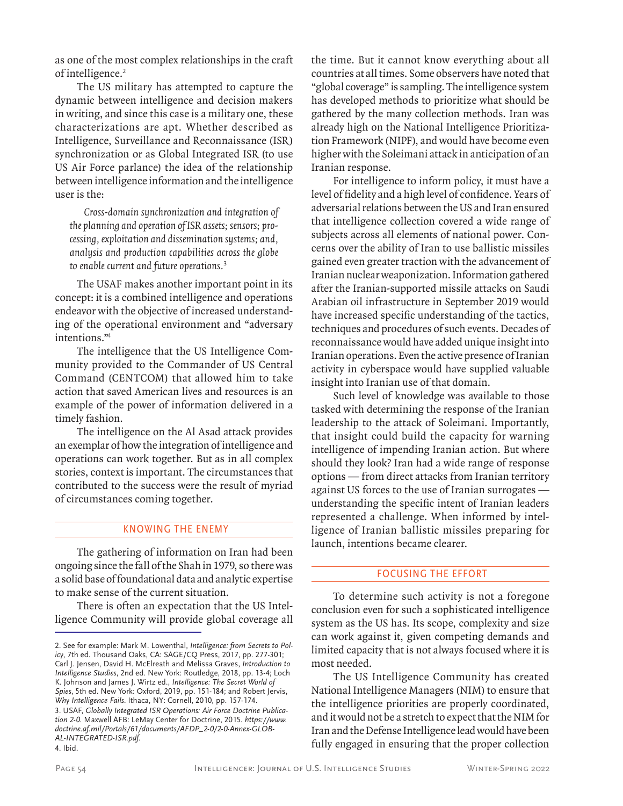as one of the most complex relationships in the craft of intelligence.<sup>2</sup>

The US military has attempted to capture the dynamic between intelligence and decision makers in writing, and since this case is a military one, these characterizations are apt. Whether described as Intelligence, Surveillance and Reconnaissance (ISR) synchronization or as Global Integrated ISR (to use US Air Force parlance) the idea of the relationship between intelligence information and the intelligence user is the:

Cross-domain synchronization and integration of the planning and operation of ISR assets; sensors; processing, exploitation and dissemination systems; and, analysis and production capabilities across the globe to enable current and future operations.<sup>3</sup>

The USAF makes another important point in its concept: it is a combined intelligence and operations endeavor with the objective of increased understanding of the operational environment and "adversary intentions."4

The intelligence that the US Intelligence Community provided to the Commander of US Central Command (CENTCOM) that allowed him to take action that saved American lives and resources is an example of the power of information delivered in a timely fashion.

The intelligence on the Al Asad attack provides an exemplar of how the integration of intelligence and operations can work together. But as in all complex stories, context is important. The circumstances that contributed to the success were the result of myriad of circumstances coming together.

## KNOWING THE ENEMY

The gathering of information on Iran had been ongoing since the fall of the Shah in 1979, so there was a solid base of foundational data and analytic expertise to make sense of the current situation.

There is often an expectation that the US Intelligence Community will provide global coverage all

4. Ibid.

the time. But it cannot know everything about all countries at all times. Some observers have noted that "global coverage" is sampling. The intelligence system has developed methods to prioritize what should be gathered by the many collection methods. Iran was already high on the National Intelligence Prioritization Framework (NIPF), and would have become even higher with the Soleimani attack in anticipation of an Iranian response.

For intelligence to inform policy, it must have a level of fidelity and a high level of confidence. Years of adversarial relations between the US and Iran ensured that intelligence collection covered a wide range of subjects across all elements of national power. Concerns over the ability of Iran to use ballistic missiles gained even greater traction with the advancement of Iranian nuclear weaponization. Information gathered after the Iranian-supported missile attacks on Saudi Arabian oil infrastructure in September 2019 would have increased specific understanding of the tactics, techniques and procedures of such events. Decades of reconnaissance would have added unique insight into Iranian operations. Even the active presence of Iranian activity in cyberspace would have supplied valuable insight into Iranian use of that domain.

Such level of knowledge was available to those tasked with determining the response of the Iranian leadership to the attack of Soleimani. Importantly, that insight could build the capacity for warning intelligence of impending Iranian action. But where should they look? Iran had a wide range of response options — from direct attacks from Iranian territory against US forces to the use of Iranian surrogates understanding the specific intent of Iranian leaders represented a challenge. When informed by intelligence of Iranian ballistic missiles preparing for launch, intentions became clearer.

# FOCUSING THE EFFORT

To determine such activity is not a foregone conclusion even for such a sophisticated intelligence system as the US has. Its scope, complexity and size can work against it, given competing demands and limited capacity that is not always focused where it is most needed.

The US Intelligence Community has created National Intelligence Managers (NIM) to ensure that the intelligence priorities are properly coordinated, and it would not be a stretch to expect that the NIM for Iran and the Defense Intelligence lead would have been fully engaged in ensuring that the proper collection

<sup>2.</sup> See for example: Mark M. Lowenthal, *Intelligence: from Secrets to Policy*, 7th ed. Thousand Oaks, CA: SAGE/CQ Press, 2017, pp. 277-301; Carl J. Jensen, David H. McElreath and Melissa Graves, *Introduction to Intelligence Studies*, 2nd ed. New York: Routledge, 2018, pp. 13-4; Loch K. Johnson and James J. Wirtz ed., *Intelligence: The Secret World of Spies*, 5th ed. New York: Oxford, 2019, pp. 151-184; and Robert Jervis, *Why Intelligence Fails*. Ithaca, NY: Cornell, 2010, pp. 157-174. 3. USAF, *Globally Integrated ISR Operations: Air Force Doctrine Publication 2-0*. Maxwell AFB: LeMay Center for Doctrine, 2015. *https://www. doctrine.af.mil/Portals/61/documents/AFDP\_2-0/2-0-Annex-GLOB-AL-INTEGRATED-ISR.pdf*.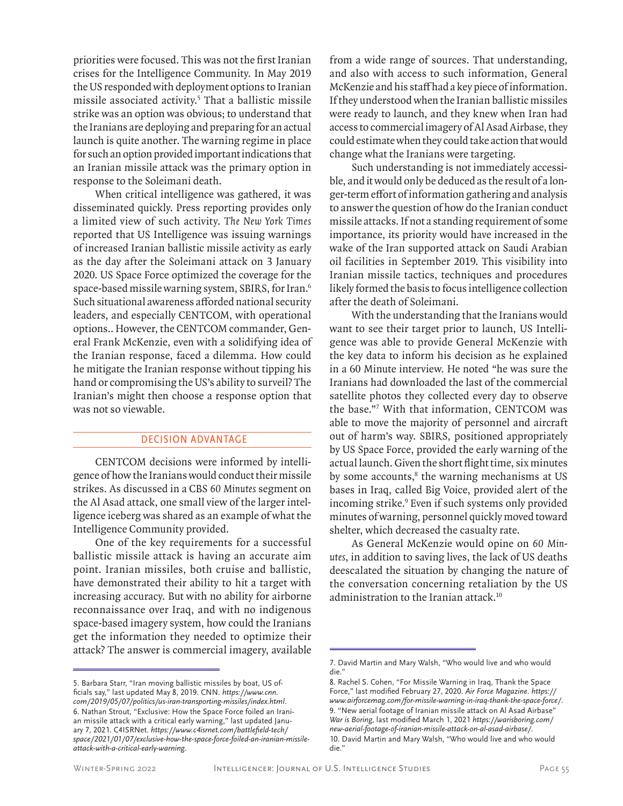priorities were focused. This was not the first Iranian crises for the Intelligence Community. In May 2019 the US responded with deployment options to Iranian missile associated activity.5 That a ballistic missile strike was an option was obvious; to understand that the Iranians are deploying and preparing for an actual launch is quite another. The warning regime in place for such an option provided important indications that an Iranian missile attack was the primary option in response to the Soleimani death.

When critical intelligence was gathered, it was disseminated quickly. Press reporting provides only a limited view of such activity. The New York Times reported that US Intelligence was issuing warnings of increased Iranian ballistic missile activity as early as the day after the Soleimani attack on 3 January 2020. US Space Force optimized the coverage for the space-based missile warning system, SBIRS, for Iran.<sup>6</sup> Such situational awareness afforded national security leaders, and especially CENTCOM, with operational options.. However, the CENTCOM commander, General Frank McKenzie, even with a solidifying idea of the Iranian response, faced a dilemma. How could he mitigate the Iranian response without tipping his hand or compromising the US's ability to surveil? The Iranian's might then choose a response option that was not so viewable.

# DECISION ADVANTAGE

CENTCOM decisions were informed by intelligence of how the Iranians would conduct their missile strikes. As discussed in a CBS 60 Minutes segment on the Al Asad attack, one small view of the larger intelligence iceberg was shared as an example of what the Intelligence Community provided.

One of the key requirements for a successful ballistic missile attack is having an accurate aim point. Iranian missiles, both cruise and ballistic, have demonstrated their ability to hit a target with increasing accuracy. But with no ability for airborne reconnaissance over Iraq, and with no indigenous space-based imagery system, how could the Iranians get the information they needed to optimize their attack? The answer is commercial imagery, available

from a wide range of sources. That understanding, and also with access to such information, General McKenzie and his staff had a key piece of information. If they understood when the Iranian ballistic missiles were ready to launch, and they knew when Iran had access to commercial imagery of Al Asad Airbase, they could estimate when they could take action that would change what the Iranians were targeting.

Such understanding is not immediately accessible, and it would only be deduced as the result of a longer-term effort of information gathering and analysis to answer the question of how do the Iranian conduct missile attacks. If not a standing requirement of some importance, its priority would have increased in the wake of the Iran supported attack on Saudi Arabian oil facilities in September 2019. This visibility into Iranian missile tactics, techniques and procedures likely formed the basis to focus intelligence collection after the death of Soleimani.

With the understanding that the Iranians would want to see their target prior to launch, US Intelligence was able to provide General McKenzie with the key data to inform his decision as he explained in a 60 Minute interview. He noted "he was sure the Iranians had downloaded the last of the commercial satellite photos they collected every day to observe the base."7 With that information, CENTCOM was able to move the majority of personnel and aircraft out of harm's way. SBIRS, positioned appropriately by US Space Force, provided the early warning of the actual launch. Given the short flight time, six minutes by some accounts,<sup>8</sup> the warning mechanisms at US bases in Iraq, called Big Voice, provided alert of the incoming strike.<sup>9</sup> Even if such systems only provided minutes of warning, personnel quickly moved toward shelter, which decreased the casualty rate.

As General McKenzie would opine on 60 Minutes, in addition to saving lives, the lack of US deaths deescalated the situation by changing the nature of the conversation concerning retaliation by the US administration to the Iranian attack.10

<sup>5.</sup> Barbara Starr, "Iran moving ballistic missiles by boat, US officials say," last updated May 8, 2019. CNN. *https://www.cnn. com/2019/05/07/politics/us-iran-transporting-missiles/index.html*. 6. Nathan Strout, "Exclusive: How the Space Force foiled an Iranian missile attack with a critical early warning," last updated January 7, 2021. C4ISRNet. *https://www.c4isrnet.com/battlefield-tech/ space/2021/01/07/exclusive-how-the-space-force-foiled-an-iranian-missileattack-with-a-critical-early-warning*.

<sup>7.</sup> David Martin and Mary Walsh, "Who would live and who would die."

<sup>8.</sup> Rachel S. Cohen, "For Missile Warning in Iraq, Thank the Space Force," last modified February 27, 2020. *Air Force Magazine*. *https:// www.airforcemag.com/for-missile-warning-in-iraq-thank-the-space-force/*. 9. "New aerial footage of Iranian missile attack on Al Asad Airbase" *War is Boring*, last modified March 1, 2021 *https://warisboring.com/ new-aerial-footage-of-iranian-missile-attack-on-al-asad-airbase/*. 10. David Martin and Mary Walsh, "Who would live and who would die."